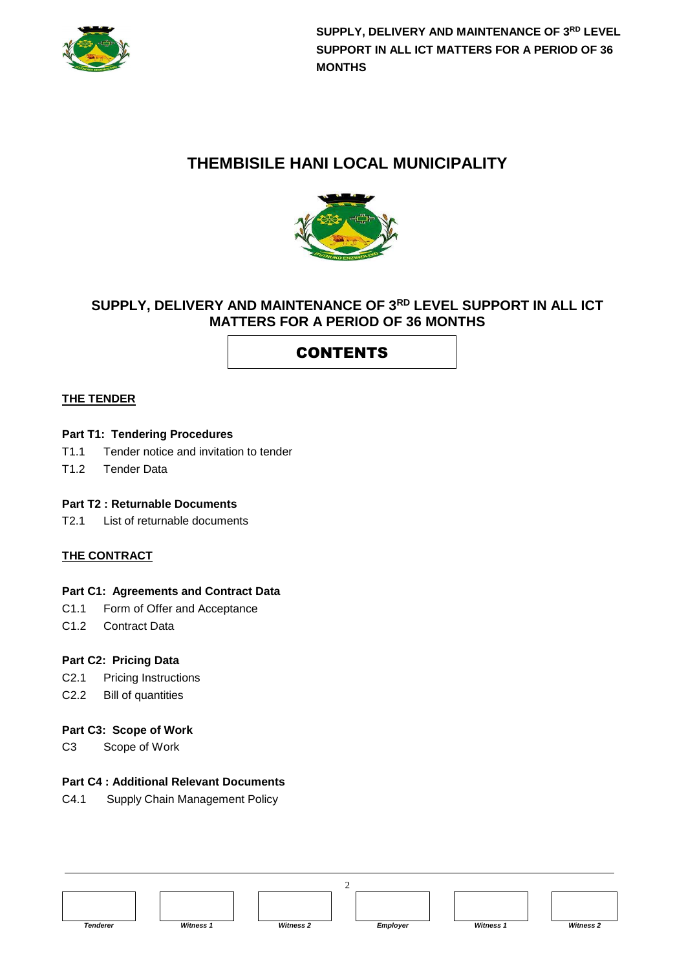

# **THEMBISILE HANI LOCAL MUNICIPALITY**



### **SUPPLY, DELIVERY AND MAINTENANCE OF 3RD LEVEL SUPPORT IN ALL ICT MATTERS FOR A PERIOD OF 36 MONTHS**

# **CONTENTS**

#### **THE TENDER**

#### **Part T1: Tendering Procedures**

- T1.1 Tender notice and invitation to tender
- T1.2 Tender Data

#### **Part T2 : Returnable Documents**

T2.1 List of returnable documents

#### **THE CONTRACT**

#### **Part C1: Agreements and Contract Data**

- C1.1 Form of Offer and Acceptance
- C1.2 Contract Data

#### **Part C2: Pricing Data**

- C2.1 Pricing Instructions
- C2.2 Bill of quantities

#### **Part C3: Scope of Work**

C3 Scope of Work

#### **Part C4 : Additional Relevant Documents**

C4.1 Supply Chain Management Policy

| <b>Tenderer</b> | <b>Witness 1</b> | <b>Witness 2</b> | Employer | <b>Witness 1</b> | <b>Witness 2</b> |
|-----------------|------------------|------------------|----------|------------------|------------------|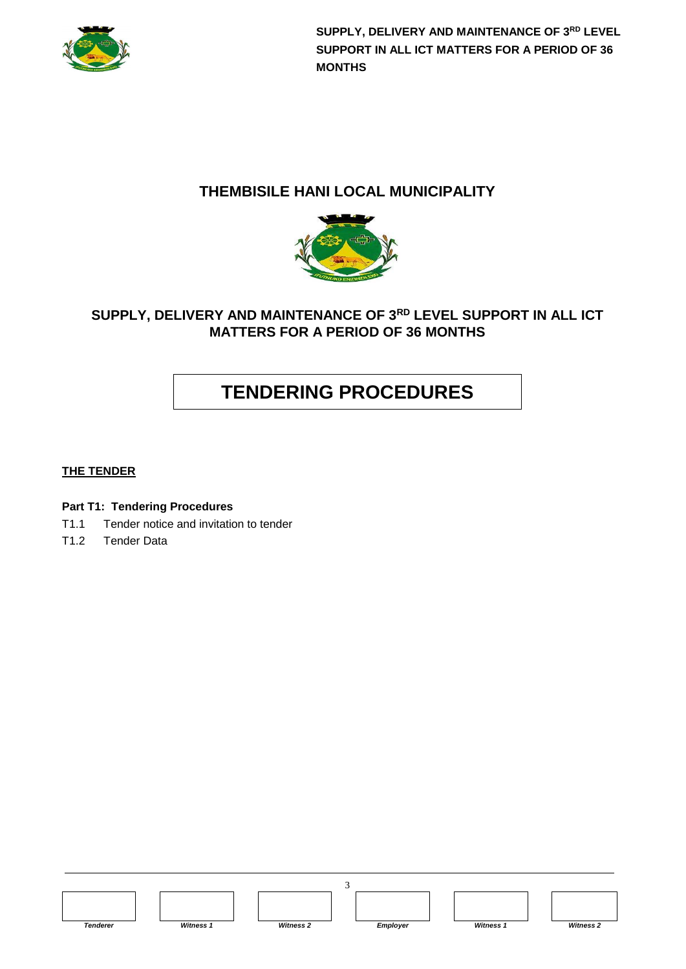

### **THEMBISILE HANI LOCAL MUNICIPALITY**



### **SUPPLY, DELIVERY AND MAINTENANCE OF 3RD LEVEL SUPPORT IN ALL ICT MATTERS FOR A PERIOD OF 36 MONTHS**

# **TENDERING PROCEDURES**

#### **THE TENDER**

#### **Part T1: Tendering Procedures**

- T1.1 Tender notice and invitation to tender
- T1.2 Tender Data

*Tenderer Witness 1 Witness 2 Employer Witness 1 Witness 2*



3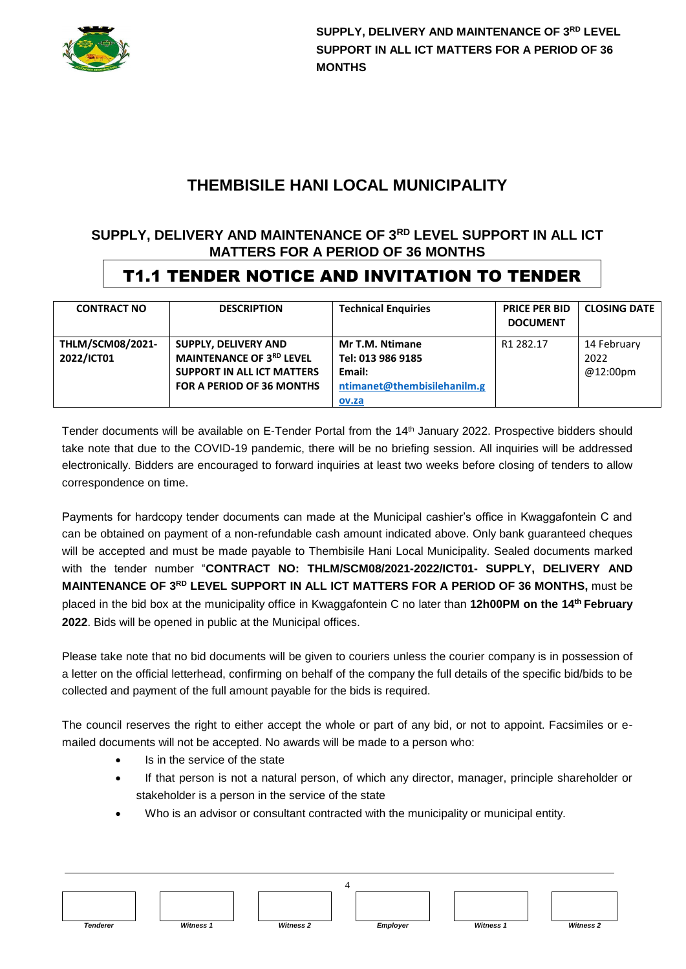

# **THEMBISILE HANI LOCAL MUNICIPALITY**

### **SUPPLY, DELIVERY AND MAINTENANCE OF 3RD LEVEL SUPPORT IN ALL ICT MATTERS FOR A PERIOD OF 36 MONTHS**

# T1.1 TENDER NOTICE AND INVITATION TO TENDER

| <b>CONTRACT NO</b>                    | <b>DESCRIPTION</b>                                                                                                                      | <b>Technical Enguiries</b>                                                    | <b>PRICE PER BID</b><br><b>DOCUMENT</b> | <b>CLOSING DATE</b>             |
|---------------------------------------|-----------------------------------------------------------------------------------------------------------------------------------------|-------------------------------------------------------------------------------|-----------------------------------------|---------------------------------|
| <b>THLM/SCM08/2021-</b><br>2022/ICT01 | <b>SUPPLY, DELIVERY AND</b><br><b>MAINTENANCE OF 3RD LEVEL</b><br><b>SUPPORT IN ALL ICT MATTERS</b><br><b>FOR A PERIOD OF 36 MONTHS</b> | Mr T.M. Ntimane<br>Tel: 013 986 9185<br>Email:<br>ntimanet@thembisilehanilm.g | R1 282.17                               | 14 February<br>2022<br>@12:00pm |
|                                       |                                                                                                                                         | ov.za                                                                         |                                         |                                 |

Tender documents will be available on E-Tender Portal from the 14<sup>th</sup> January 2022. Prospective bidders should take note that due to the COVID-19 pandemic, there will be no briefing session. All inquiries will be addressed electronically. Bidders are encouraged to forward inquiries at least two weeks before closing of tenders to allow correspondence on time.

Payments for hardcopy tender documents can made at the Municipal cashier's office in Kwaggafontein C and can be obtained on payment of a non-refundable cash amount indicated above. Only bank guaranteed cheques will be accepted and must be made payable to Thembisile Hani Local Municipality. Sealed documents marked with the tender number "**CONTRACT NO: THLM/SCM08/2021-2022/ICT01- SUPPLY, DELIVERY AND MAINTENANCE OF 3RD LEVEL SUPPORT IN ALL ICT MATTERS FOR A PERIOD OF 36 MONTHS,** must be placed in the bid box at the municipality office in Kwaggafontein C no later than **12h00PM on the 14 th February 2022**. Bids will be opened in public at the Municipal offices.

Please take note that no bid documents will be given to couriers unless the courier company is in possession of a letter on the official letterhead, confirming on behalf of the company the full details of the specific bid/bids to be collected and payment of the full amount payable for the bids is required.

The council reserves the right to either accept the whole or part of any bid, or not to appoint. Facsimiles or emailed documents will not be accepted. No awards will be made to a person who:

- Is in the service of the state
- If that person is not a natural person, of which any director, manager, principle shareholder or stakeholder is a person in the service of the state
- Who is an advisor or consultant contracted with the municipality or municipal entity.

| <b>Tenderer</b> | <b>Witness 1</b> | <b>Witness 2</b> | Employer | <b>Witness 1</b> | <b>Witness 2</b> |
|-----------------|------------------|------------------|----------|------------------|------------------|